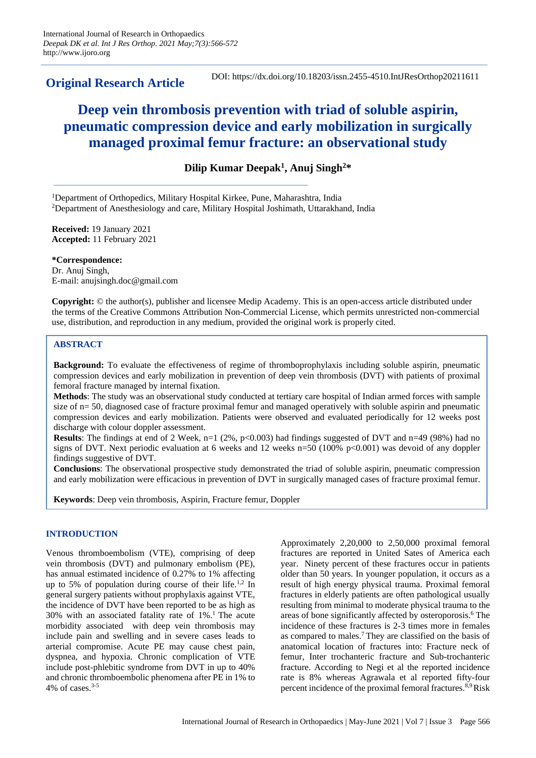**Original Research Article**

DOI: https://dx.doi.org/10.18203/issn.2455-4510.IntJResOrthop20211611

# **Deep vein thrombosis prevention with triad of soluble aspirin, pneumatic compression device and early mobilization in surgically managed proximal femur fracture: an observational study**

**Dilip Kumar Deepak<sup>1</sup> , Anuj Singh<sup>2</sup>\***

<sup>1</sup>Department of Orthopedics, Military Hospital Kirkee, Pune, Maharashtra, India <sup>2</sup>Department of Anesthesiology and care, Military Hospital Joshimath, Uttarakhand, India

**Received:** 19 January 2021 **Accepted:** 11 February 2021

**\*Correspondence:** Dr. Anuj Singh, E-mail: anujsingh.doc@gmail.com

**Copyright:** © the author(s), publisher and licensee Medip Academy. This is an open-access article distributed under the terms of the Creative Commons Attribution Non-Commercial License, which permits unrestricted non-commercial use, distribution, and reproduction in any medium, provided the original work is properly cited.

## **ABSTRACT**

**Background:** To evaluate the effectiveness of regime of thromboprophylaxis including soluble aspirin, pneumatic compression devices and early mobilization in prevention of deep vein thrombosis (DVT) with patients of proximal femoral fracture managed by internal fixation.

**Methods**: The study was an observational study conducted at tertiary care hospital of Indian armed forces with sample size of n= 50, diagnosed case of fracture proximal femur and managed operatively with soluble aspirin and pneumatic compression devices and early mobilization. Patients were observed and evaluated periodically for 12 weeks post discharge with colour doppler assessment.

**Results**: The findings at end of 2 Week, n=1 (2%, p<0.003) had findings suggested of DVT and n=49 (98%) had no signs of DVT. Next periodic evaluation at 6 weeks and 12 weeks n=50 (100% p<0.001) was devoid of any doppler findings suggestive of DVT.

**Conclusions**: The observational prospective study demonstrated the triad of soluble aspirin, pneumatic compression and early mobilization were efficacious in prevention of DVT in surgically managed cases of fracture proximal femur.

**Keywords**: Deep vein thrombosis, Aspirin, Fracture femur, Doppler

## **INTRODUCTION**

Venous thromboembolism (VTE), comprising of deep vein thrombosis (DVT) and pulmonary embolism (PE), has annual estimated incidence of 0.27% to 1% affecting up to 5% of population during course of their life.1,2 In general surgery patients without prophylaxis against VTE, the incidence of DVT have been reported to be as high as 30% with an associated fatality rate of 1%.<sup>1</sup> The acute morbidity associated with deep vein thrombosis may include pain and swelling and in severe cases leads to arterial compromise. Acute PE may cause chest pain, dyspnea, and hypoxia. Chronic complication of VTE include post-phlebitic syndrome from DVT in up to 40% and chronic thromboembolic phenomena after PE in 1% to 4% of cases.3-5

Approximately 2,20,000 to 2,50,000 proximal femoral fractures are reported in United Sates of America each year. Ninety percent of these fractures occur in patients older than 50 years. In younger population, it occurs as a result of high energy physical trauma. Proximal femoral fractures in elderly patients are often pathological usually resulting from minimal to moderate physical trauma to the areas of bone significantly affected by osteroporosis.<sup>6</sup> The incidence of these fractures is 2-3 times more in females as compared to males.<sup>7</sup>They are classified on the basis of anatomical location of fractures into: Fracture neck of femur, Inter trochanteric fracture and Sub-trochanteric fracture. According to Negi et al the reported incidence rate is 8% whereas Agrawala et al reported fifty-four percent incidence of the proximal femoral fractures.8,9 Risk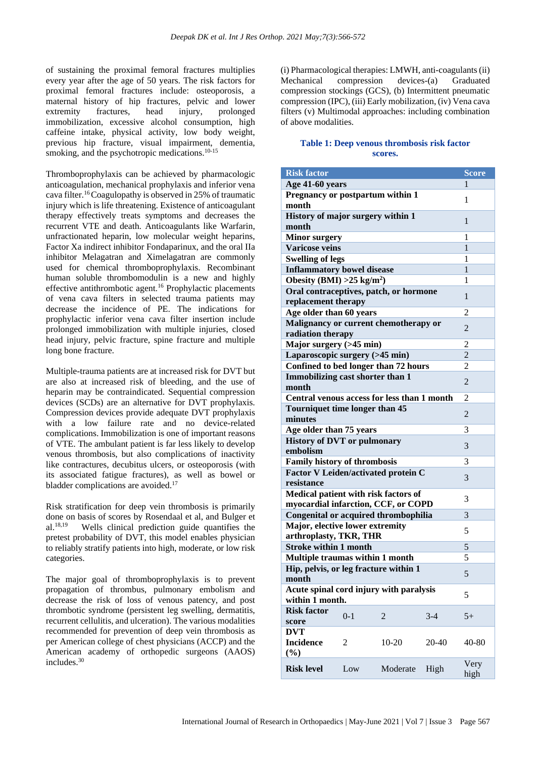of sustaining the proximal femoral fractures multiplies every year after the age of 50 years. The risk factors for proximal femoral fractures include: osteoporosis, a maternal history of hip fractures, pelvic and lower extremity fractures, head injury, prolonged immobilization, excessive alcohol consumption, high caffeine intake, physical activity, low body weight, previous hip fracture, visual impairment, dementia, smoking, and the psychotropic medications.<sup>10-15</sup>

Thromboprophylaxis can be achieved by pharmacologic anticoagulation, mechanical prophylaxis and inferior vena cava filter.<sup>16</sup>Coagulopathy is observed in 25% of traumatic injury which is life threatening. Existence of anticoagulant therapy effectively treats symptoms and decreases the recurrent VTE and death. Anticoagulants like Warfarin, unfractionated heparin, low molecular weight heparins, Factor Xa indirect inhibitor Fondaparinux, and the oral IIa inhibitor Melagatran and Ximelagatran are commonly used for chemical thromboprophylaxis. Recombinant human soluble thrombomodulin is a new and highly effective antithrombotic agent.<sup>16</sup> Prophylactic placements of vena cava filters in selected trauma patients may decrease the incidence of PE. The indications for prophylactic inferior vena cava filter insertion include prolonged immobilization with multiple injuries, closed head injury, pelvic fracture, spine fracture and multiple long bone fracture.

Multiple-trauma patients are at increased risk for DVT but are also at increased risk of bleeding, and the use of heparin may be contraindicated. Sequential compression devices (SCDs) are an alternative for DVT prophylaxis. Compression devices provide adequate DVT prophylaxis with a low failure rate and no device-related complications. Immobilization is one of important reasons of VTE. The ambulant patient is far less likely to develop venous thrombosis, but also complications of inactivity like contractures, decubitus ulcers, or osteoporosis (with its associated fatigue fractures), as well as bowel or bladder complications are avoided.<sup>17</sup>

Risk stratification for deep vein thrombosis is primarily done on basis of scores by Rosendaal et al, and Bulger et al.18,19 Wells clinical prediction guide quantifies the pretest probability of DVT, this model enables physician to reliably stratify patients into high, moderate, or low risk categories.

The major goal of thromboprophylaxis is to prevent propagation of thrombus, pulmonary embolism and decrease the risk of loss of venous patency, and post thrombotic syndrome (persistent leg swelling, dermatitis, recurrent cellulitis, and ulceration). The various modalities recommended for prevention of deep vein thrombosis as per American college of chest physicians (ACCP) and the American academy of orthopedic surgeons (AAOS) includes.<sup>30</sup>

(i) Pharmacological therapies: LMWH, anti-coagulants(ii) Mechanical compression devices-(a) Graduated compression stockings (GCS), (b) Intermittent pneumatic compression (IPC), (iii) Early mobilization, (iv) Vena cava filters (v) Multimodal approaches: including combination of above modalities.

## **Table 1: Deep venous thrombosis risk factor scores.**

| <b>Risk factor</b>                                                             |         |                |                | <b>Score</b>   |
|--------------------------------------------------------------------------------|---------|----------------|----------------|----------------|
| Age 41-60 years                                                                |         |                |                | 1              |
| Pregnancy or postpartum within 1<br>month                                      |         |                |                | 1              |
| History of major surgery within 1<br>month                                     | 1       |                |                |                |
| <b>Minor surgery</b>                                                           | 1       |                |                |                |
| <b>Varicose veins</b>                                                          | 1       |                |                |                |
| <b>Swelling of legs</b>                                                        | 1       |                |                |                |
| <b>Inflammatory bowel disease</b>                                              | 1       |                |                |                |
| Obesity (BMI) > $25 \text{ kg/m}^2$ )                                          |         |                |                | 1              |
| Oral contraceptives, patch, or hormone                                         |         |                |                |                |
| replacement therapy                                                            |         |                |                | $\mathbf{1}$   |
| Age older than 60 years                                                        |         |                |                | 2              |
| Malignancy or current chemotherapy or<br>radiation therapy                     |         |                | $\overline{2}$ |                |
| Major surgery (>45 min)                                                        |         |                |                | 2              |
| Laparoscopic surgery (>45 min)                                                 |         |                |                | $\overline{2}$ |
| Confined to bed longer than 72 hours                                           |         |                |                | 2              |
| Immobilizing cast shorter than 1<br>month                                      |         |                | 2              |                |
| Central venous access for less than 1 month                                    |         |                | 2              |                |
| Tourniquet time longer than 45<br>minutes                                      |         |                | $\overline{2}$ |                |
| Age older than 75 years                                                        |         |                | 3              |                |
| <b>History of DVT or pulmonary</b>                                             |         |                |                |                |
| embolism                                                                       |         |                | 3              |                |
| <b>Family history of thrombosis</b>                                            |         |                | 3              |                |
| <b>Factor V Leiden/activated protein C</b><br>resistance                       |         |                | 3              |                |
| Medical patient with risk factors of<br>myocardial infarction, CCF, or COPD    |         |                | 3              |                |
|                                                                                |         |                |                | 3              |
| <b>Congenital or acquired thrombophilia</b><br>Major, elective lower extremity |         |                | 5              |                |
| arthroplasty, TKR, THR<br><b>Stroke within 1 month</b>                         |         |                | 5              |                |
| Multiple traumas within 1 month                                                |         |                | 5              |                |
| Hip, pelvis, or leg fracture within 1<br>month                                 |         |                | 5              |                |
| Acute spinal cord injury with paralysis<br>within 1 month.                     |         |                | 5              |                |
| <b>Risk factor</b>                                                             |         |                |                |                |
| score                                                                          | $0 - 1$ | $\overline{2}$ | $3-4$          | $5+$           |
| <b>DVT</b><br><b>Incidence</b><br>$(\%)$                                       | 2       | 10-20          | 20-40          | 40-80          |
| <b>Risk level</b>                                                              | Low     | Moderate       | High           | Very<br>high   |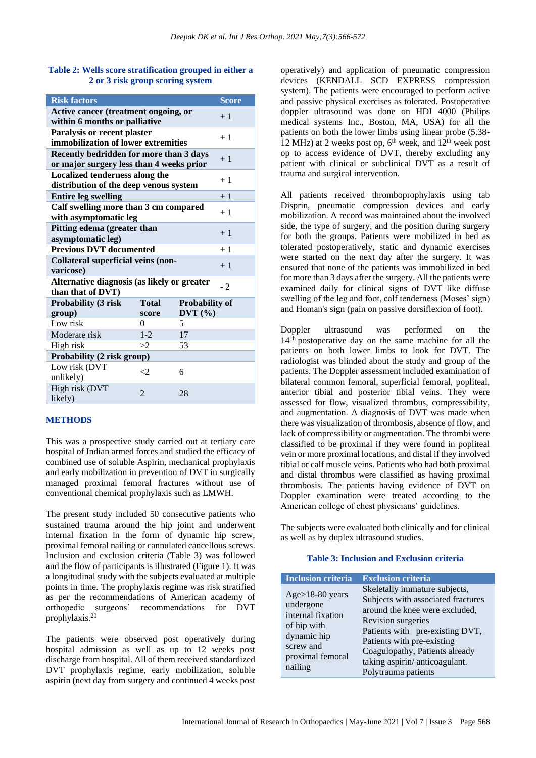### **Table 2: Wells score stratification grouped in either a 2 or 3 risk group scoring system**

| <b>Risk factors</b>                         |              |                       | <b>Score</b> |  |
|---------------------------------------------|--------------|-----------------------|--------------|--|
| Active cancer (treatment ongoing, or        | $+1$         |                       |              |  |
| within 6 months or palliative               |              |                       |              |  |
| Paralysis or recent plaster                 |              |                       |              |  |
| immobilization of lower extremities         | $+1$         |                       |              |  |
| Recently bedridden for more than 3 days     |              |                       |              |  |
| or major surgery less than 4 weeks prior    | $+1$         |                       |              |  |
| Localized tenderness along the              |              |                       |              |  |
| distribution of the deep venous system      | $+1$         |                       |              |  |
| <b>Entire leg swelling</b>                  | $+1$         |                       |              |  |
| Calf swelling more than 3 cm compared       |              |                       |              |  |
| with asymptomatic leg                       | $+1$         |                       |              |  |
| Pitting edema (greater than                 |              |                       |              |  |
| $+1$<br>asymptomatic leg)                   |              |                       |              |  |
| <b>Previous DVT</b> documented              |              |                       | $+1$         |  |
| Collateral superficial veins (non-          |              |                       |              |  |
| $+1$<br>varicose)                           |              |                       |              |  |
| Alternative diagnosis (as likely or greater |              |                       |              |  |
| $-2$<br>than that of DVT)                   |              |                       |              |  |
| Probability (3 risk                         | <b>Total</b> | <b>Probability of</b> |              |  |
| group)                                      | score        | DVT(%)                |              |  |
| Low risk                                    | $\theta$     | 5                     |              |  |
| Moderate risk                               | $1 - 2$      | 17                    |              |  |
| High risk                                   | >2           | 53                    |              |  |
| Probability (2 risk group)                  |              |                       |              |  |
| Low risk (DVT                               |              |                       |              |  |
| unlikely)                                   | ${<}2$       | 6                     |              |  |
| High risk (DVT                              |              |                       |              |  |
| likely)                                     | 2<br>28      |                       |              |  |

## **METHODS**

This was a prospective study carried out at tertiary care hospital of Indian armed forces and studied the efficacy of combined use of soluble Aspirin, mechanical prophylaxis and early mobilization in prevention of DVT in surgically managed proximal femoral fractures without use of conventional chemical prophylaxis such as LMWH.

The present study included 50 consecutive patients who sustained trauma around the hip joint and underwent internal fixation in the form of dynamic hip screw, proximal femoral nailing or cannulated cancellous screws. Inclusion and exclusion criteria (Table 3) was followed and the flow of participants is illustrated (Figure 1). It was a longitudinal study with the subjects evaluated at multiple points in time. The prophylaxis regime was risk stratified as per the recommendations of American academy of orthopedic surgeons' recommendations for DVT prophylaxis.<sup>20</sup>

The patients were observed post operatively during hospital admission as well as up to 12 weeks post discharge from hospital. All of them received standardized DVT prophylaxis regime, early mobilization, soluble aspirin (next day from surgery and continued 4 weeks post operatively) and application of pneumatic compression devices (KENDALL SCD EXPRESS compression system). The patients were encouraged to perform active and passive physical exercises as tolerated. Postoperative doppler ultrasound was done on HDI 4000 (Philips medical systems Inc., Boston, MA, USA) for all the patients on both the lower limbs using linear probe (5.38- 12 MHz) at 2 weeks post op,  $6<sup>th</sup>$  week, and  $12<sup>th</sup>$  week post op to access evidence of DVT, thereby excluding any patient with clinical or subclinical DVT as a result of trauma and surgical intervention.

All patients received thromboprophylaxis using tab Disprin, pneumatic compression devices and early mobilization. A record was maintained about the involved side, the type of surgery, and the position during surgery for both the groups. Patients were mobilized in bed as tolerated postoperatively, static and dynamic exercises were started on the next day after the surgery. It was ensured that none of the patients was immobilized in bed for more than 3 days after the surgery. All the patients were examined daily for clinical signs of DVT like diffuse swelling of the leg and foot, calf tenderness (Moses' sign) and Homan's sign (pain on passive dorsiflexion of foot).

Doppler ultrasound was performed on the 141h postoperative day on the same machine for all the patients on both lower limbs to look for DVT. The radiologist was blinded about the study and group of the patients. The Doppler assessment included examination of bilateral common femoral, superficial femoral, popliteal, anterior tibial and posterior tibial veins. They were assessed for flow, visualized thrombus, compressibility, and augmentation. A diagnosis of DVT was made when there was visualization of thrombosis, absence of flow, and lack of compressibility or augmentation. The thrombi were classified to be proximal if they were found in popliteal vein or more proximal locations, and distal if they involved tibial or calf muscle veins. Patients who had both proximal and distal thrombus were classified as having proximal thrombosis. The patients having evidence of DVT on Doppler examination were treated according to the American college of chest physicians' guidelines.

The subjects were evaluated both clinically and for clinical as well as by duplex ultrasound studies.

## **Table 3: Inclusion and Exclusion criteria**

| <b>Inclusion criteria</b>                                                                                                     | <b>Exclusion criteria</b>                                                                                                                                                                                                                                                              |
|-------------------------------------------------------------------------------------------------------------------------------|----------------------------------------------------------------------------------------------------------------------------------------------------------------------------------------------------------------------------------------------------------------------------------------|
| $Age>18-80$ years<br>undergone<br>internal fixation<br>of hip with<br>dynamic hip<br>screw and<br>proximal femoral<br>nailing | Skeletally immature subjects,<br>Subjects with associated fractures<br>around the knee were excluded,<br>Revision surgeries<br>Patients with pre-existing DVT,<br>Patients with pre-existing<br>Coagulopathy, Patients already<br>taking aspirin/anticoagulant.<br>Polytrauma patients |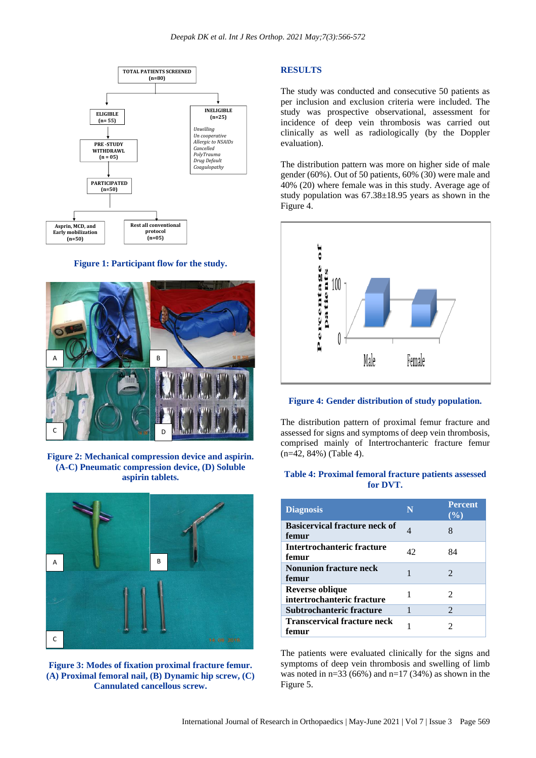

**Figure 1: Participant flow for the study.**



**Figure 2: Mechanical compression device and aspirin. (A-C) Pneumatic compression device, (D) Soluble aspirin tablets.**



**Figure 3: Modes of fixation proximal fracture femur. (A) Proximal femoral nail, (B) Dynamic hip screw, (C) Cannulated cancellous screw.**

#### **RESULTS**

The study was conducted and consecutive 50 patients as per inclusion and exclusion criteria were included. The study was prospective observational, assessment for incidence of deep vein thrombosis was carried out clinically as well as radiologically (by the Doppler evaluation).

The distribution pattern was more on higher side of male gender (60%). Out of 50 patients, 60% (30) were male and 40% (20) where female was in this study. Average age of study population was 67.38±18.95 years as shown in the Figure 4.



#### **Figure 4: Gender distribution of study population.**

The distribution pattern of proximal femur fracture and assessed for signs and symptoms of deep vein thrombosis, comprised mainly of Intertrochanteric fracture femur (n=42, 84%) (Table 4).

### **Table 4: Proximal femoral fracture patients assessed for DVT.**

| <b>Diagnosis</b>                              | N  | <b>Percent</b><br>$($ %)    |
|-----------------------------------------------|----|-----------------------------|
| <b>Basicervical fracture neck of</b><br>femur | 4  | 8                           |
| Intertrochanteric fracture<br>femur           | 42 | 84                          |
| <b>Nonunion fracture neck</b><br>femur        |    | $\mathcal{D}_{\cdot}$       |
| Reverse oblique<br>intertrochanteric fracture |    | $\mathcal{D}_{\mathcal{L}}$ |
| Subtrochanteric fracture                      | 1  | $\mathfrak{D}$              |
| <b>Transcervical fracture neck</b><br>femur   |    |                             |

The patients were evaluated clinically for the signs and symptoms of deep vein thrombosis and swelling of limb was noted in  $n=33(66%)$  and  $n=17(34%)$  as shown in the Figure 5.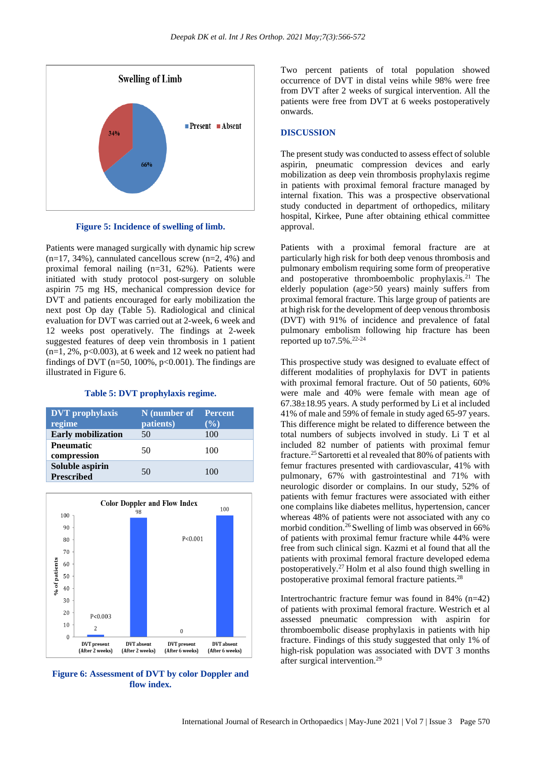

**Figure 5: Incidence of swelling of limb.**

Patients were managed surgically with dynamic hip screw  $(n=17, 34\%)$ , cannulated cancellous screw  $(n=2, 4\%)$  and proximal femoral nailing (n=31, 62%). Patients were initiated with study protocol post-surgery on soluble aspirin 75 mg HS, mechanical compression device for DVT and patients encouraged for early mobilization the next post Op day (Table 5). Radiological and clinical evaluation for DVT was carried out at 2-week, 6 week and 12 weeks post operatively. The findings at 2-week suggested features of deep vein thrombosis in 1 patient  $(n=1, 2\%, p<0.003)$ , at 6 week and 12 week no patient had findings of DVT ( $n=50$ , 100%,  $p<0.001$ ). The findings are illustrated in Figure 6.

#### **Table 5: DVT prophylaxis regime.**

| <b>DVT</b> prophylaxis               | N (number of Percent |       |
|--------------------------------------|----------------------|-------|
| regime                               | patients)            | (9/0) |
| <b>Early</b> mobilization            | 50                   | 100   |
| <b>Pneumatic</b><br>compression      | 50                   | 100   |
| Soluble aspirin<br><b>Prescribed</b> | 50                   | 100   |



**Figure 6: Assessment of DVT by color Doppler and flow index.**

Two percent patients of total population showed occurrence of DVT in distal veins while 98% were free from DVT after 2 weeks of surgical intervention. All the patients were free from DVT at 6 weeks postoperatively onwards.

#### **DISCUSSION**

The present study was conducted to assess effect of soluble aspirin, pneumatic compression devices and early mobilization as deep vein thrombosis prophylaxis regime in patients with proximal femoral fracture managed by internal fixation. This was a prospective observational study conducted in department of orthopedics, military hospital, Kirkee, Pune after obtaining ethical committee approval.

Patients with a proximal femoral fracture are at particularly high risk for both deep venous thrombosis and pulmonary embolism requiring some form of preoperative and postoperative thromboembolic prophylaxis. $21$  The elderly population (age>50 years) mainly suffers from proximal femoral fracture. This large group of patients are at high risk for the development of deep venous thrombosis (DVT) with 91% of incidence and prevalence of fatal pulmonary embolism following hip fracture has been reported up to  $7.5\%$ .  $22-24$ 

This prospective study was designed to evaluate effect of different modalities of prophylaxis for DVT in patients with proximal femoral fracture. Out of 50 patients, 60% were male and 40% were female with mean age of 67.38±18.95 years. A study performed by Li et al included 41% of male and 59% of female in study aged 65-97 years. This difference might be related to difference between the total numbers of subjects involved in study. Li T et al included 82 number of patients with proximal femur fracture.<sup>25</sup> Sartoretti et al revealed that 80% of patients with femur fractures presented with cardiovascular, 41% with pulmonary, 67% with gastrointestinal and 71% with neurologic disorder or complains. In our study, 52% of patients with femur fractures were associated with either one complains like diabetes mellitus, hypertension, cancer whereas 48% of patients were not associated with any co morbid condition.<sup>26</sup> Swelling of limb was observed in  $66\%$ of patients with proximal femur fracture while 44% were free from such clinical sign. Kazmi et al found that all the patients with proximal femoral fracture developed edema postoperatively.<sup>27</sup>Holm et al also found thigh swelling in postoperative proximal femoral fracture patients.<sup>28</sup>

Intertrochantric fracture femur was found in 84% (n=42) of patients with proximal femoral fracture. Westrich et al assessed pneumatic compression with aspirin for thromboembolic disease prophylaxis in patients with hip fracture. Findings of this study suggested that only 1% of high-risk population was associated with DVT 3 months after surgical intervention.29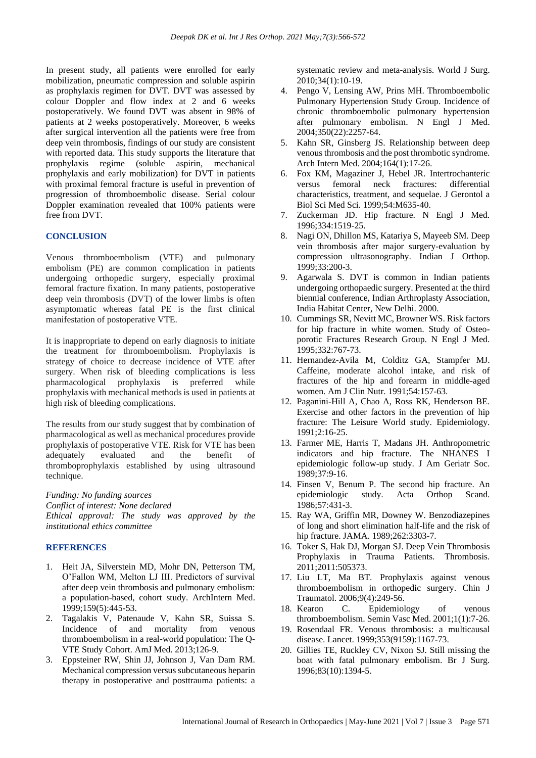In present study, all patients were enrolled for early mobilization, pneumatic compression and soluble aspirin as prophylaxis regimen for DVT. DVT was assessed by colour Doppler and flow index at 2 and 6 weeks postoperatively. We found DVT was absent in 98% of patients at 2 weeks postoperatively. Moreover, 6 weeks after surgical intervention all the patients were free from deep vein thrombosis, findings of our study are consistent with reported data. This study supports the literature that prophylaxis regime (soluble aspirin, mechanical prophylaxis and early mobilization) for DVT in patients with proximal femoral fracture is useful in prevention of progression of thromboembolic disease. Serial colour Doppler examination revealed that 100% patients were free from DVT.

### **CONCLUSION**

Venous thromboembolism (VTE) and pulmonary embolism (PE) are common complication in patients undergoing orthopedic surgery, especially proximal femoral fracture fixation. In many patients, postoperative deep vein thrombosis (DVT) of the lower limbs is often asymptomatic whereas fatal PE is the first clinical manifestation of postoperative VTE.

It is inappropriate to depend on early diagnosis to initiate the treatment for thromboembolism. Prophylaxis is strategy of choice to decrease incidence of VTE after surgery. When risk of bleeding complications is less pharmacological prophylaxis is preferred while prophylaxis with mechanical methods is used in patients at high risk of bleeding complications.

The results from our study suggest that by combination of pharmacological as well as mechanical procedures provide prophylaxis of postoperative VTE. Risk for VTE has been adequately evaluated and the benefit of thromboprophylaxis established by using ultrasound technique.

*Funding: No funding sources*

*Conflict of interest: None declared Ethical approval: The study was approved by the institutional ethics committee*

#### **REFERENCES**

- 1. Heit JA, Silverstein MD, Mohr DN, Petterson TM, O'Fallon WM, Melton LJ III. Predictors of survival after deep vein thrombosis and pulmonary embolism: a population-based, cohort study. ArchIntern Med. 1999;159(5):445-53.
- 2. Tagalakis V, Patenaude V, Kahn SR, Suissa S. Incidence of and mortality from venous thromboembolism in a real-world population: The Q-VTE Study Cohort. AmJ Med. 2013;126-9.
- 3. Eppsteiner RW, Shin JJ, Johnson J, Van Dam RM. Mechanical compression versus subcutaneous heparin therapy in postoperative and posttrauma patients: a

systematic review and meta-analysis. World J Surg. 2010;34(1):10-19.

- 4. Pengo V, Lensing AW, Prins MH. Thromboembolic Pulmonary Hypertension Study Group. Incidence of chronic thromboembolic pulmonary hypertension after pulmonary embolism. N Engl J Med. 2004;350(22):2257-64.
- 5. Kahn SR, Ginsberg JS. Relationship between deep venous thrombosis and the post thrombotic syndrome. Arch Intern Med. 2004;164(1):17-26.
- 6. Fox KM, Magaziner J, Hebel JR. Intertrochanteric versus femoral neck fractures: differential characteristics, treatment, and sequelae. J Gerontol a Biol Sci Med Sci. 1999;54:M635-40.
- 7. Zuckerman JD. Hip fracture. N Engl J Med. 1996;334:1519-25.
- 8. Nagi ON, Dhillon MS, Katariya S, Mayeeb SM. Deep vein thrombosis after major surgery-evaluation by compression ultrasonography. Indian J Orthop. 1999;33:200-3.
- 9. Agarwala S. DVT is common in Indian patients undergoing orthopaedic surgery. Presented at the third biennial conference, Indian Arthroplasty Association, India Habitat Center, New Delhi. 2000.
- 10. Cummings SR, Nevitt MC, Browner WS. Risk factors for hip fracture in white women. Study of Osteoporotic Fractures Research Group. N Engl J Med. 1995;332:767-73.
- 11. Hernandez-Avila M, Colditz GA, Stampfer MJ. Caffeine, moderate alcohol intake, and risk of fractures of the hip and forearm in middle-aged women. Am J Clin Nutr. 1991;54:157-63.
- 12. Paganini-Hill A, Chao A, Ross RK, Henderson BE. Exercise and other factors in the prevention of hip fracture: The Leisure World study. Epidemiology. 1991;2:16-25.
- 13. Farmer ME, Harris T, Madans JH. Anthropometric indicators and hip fracture. The NHANES I epidemiologic follow-up study. J Am Geriatr Soc. 1989;37:9-16.
- 14. Finsen V, Benum P. The second hip fracture. An epidemiologic study. Acta Orthop Scand. 1986;57:431-3.
- 15. Ray WA, Griffin MR, Downey W. Benzodiazepines of long and short elimination half-life and the risk of hip fracture. JAMA. 1989;262:3303-7.
- 16. Toker S, Hak DJ, Morgan SJ. Deep Vein Thrombosis Prophylaxis in Trauma Patients. Thrombosis. 2011;2011:505373.
- 17. Liu LT, Ma BT. Prophylaxis against venous thromboembolism in orthopedic surgery. Chin J Traumatol. 2006;9(4):249-56.
- 18. Kearon C. Epidemiology of venous thromboembolism. Semin Vasc Med. 2001;1(1):7-26.
- 19. Rosendaal FR. Venous thrombosis: a multicausal disease. Lancet. 1999;353(9159):1167-73.
- 20. Gillies TE, Ruckley CV, Nixon SJ. Still missing the boat with fatal pulmonary embolism. Br J Surg. 1996;83(10):1394-5.